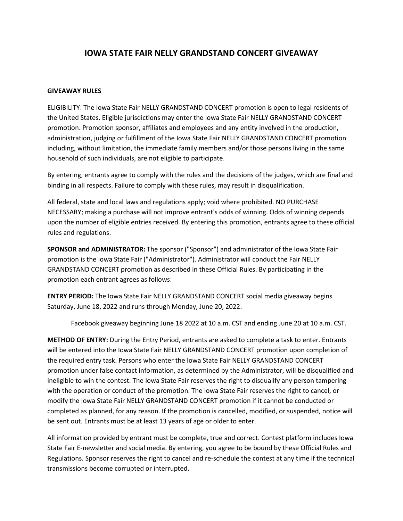## **IOWA STATE FAIR NELLY GRANDSTAND CONCERT GIVEAWAY**

## **GIVEAWAY RULES**

ELIGIBILITY: The Iowa State Fair NELLY GRANDSTAND CONCERT promotion is open to legal residents of the United States. Eligible jurisdictions may enter the Iowa State Fair NELLY GRANDSTAND CONCERT promotion. Promotion sponsor, affiliates and employees and any entity involved in the production, administration, judging or fulfillment of the Iowa State Fair NELLY GRANDSTAND CONCERT promotion including, without limitation, the immediate family members and/or those persons living in the same household of such individuals, are not eligible to participate.

By entering, entrants agree to comply with the rules and the decisions of the judges, which are final and binding in all respects. Failure to comply with these rules, may result in disqualification.

All federal, state and local laws and regulations apply; void where prohibited. NO PURCHASE NECESSARY; making a purchase will not improve entrant's odds of winning. Odds of winning depends upon the number of eligible entries received. By entering this promotion, entrants agree to these official rules and regulations.

**SPONSOR and ADMINISTRATOR:** The sponsor ("Sponsor") and administrator of the Iowa State Fair promotion is the Iowa State Fair ("Administrator"). Administrator will conduct the Fair NELLY GRANDSTAND CONCERT promotion as described in these Official Rules. By participating in the promotion each entrant agrees as follows:

**ENTRY PERIOD:** The Iowa State Fair NELLY GRANDSTAND CONCERT social media giveaway begins Saturday, June 18, 2022 and runs through Monday, June 20, 2022.

Facebook giveaway beginning June 18 2022 at 10 a.m. CST and ending June 20 at 10 a.m. CST.

**METHOD OF ENTRY:** During the Entry Period, entrants are asked to complete a task to enter. Entrants will be entered into the Iowa State Fair NELLY GRANDSTAND CONCERT promotion upon completion of the required entry task. Persons who enter the Iowa State Fair NELLY GRANDSTAND CONCERT promotion under false contact information, as determined by the Administrator, will be disqualified and ineligible to win the contest. The Iowa State Fair reserves the right to disqualify any person tampering with the operation or conduct of the promotion. The Iowa State Fair reserves the right to cancel, or modify the Iowa State Fair NELLY GRANDSTAND CONCERT promotion if it cannot be conducted or completed as planned, for any reason. If the promotion is cancelled, modified, or suspended, notice will be sent out. Entrants must be at least 13 years of age or older to enter.

All information provided by entrant must be complete, true and correct. Contest platform includes Iowa State Fair E-newsletter and social media. By entering, you agree to be bound by these Official Rules and Regulations. Sponsor reserves the right to cancel and re-schedule the contest at any time if the technical transmissions become corrupted or interrupted.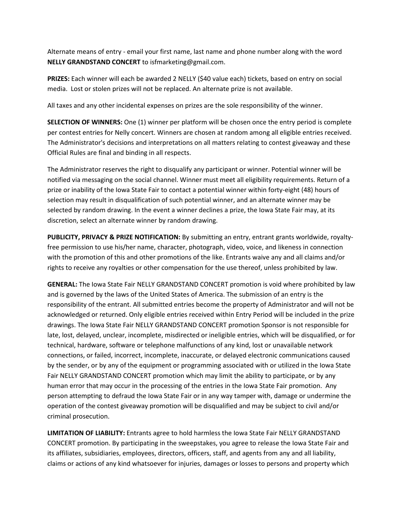Alternate means of entry - email your first name, last name and phone number along with the word **NELLY GRANDSTAND CONCERT** to isfmarketing@gmail.com.

**PRIZES:** Each winner will each be awarded 2 NELLY (\$40 value each) tickets, based on entry on social media. Lost or stolen prizes will not be replaced. An alternate prize is not available.

All taxes and any other incidental expenses on prizes are the sole responsibility of the winner.

**SELECTION OF WINNERS:** One (1) winner per platform will be chosen once the entry period is complete per contest entries for Nelly concert. Winners are chosen at random among all eligible entries received. The Administrator's decisions and interpretations on all matters relating to contest giveaway and these Official Rules are final and binding in all respects.

The Administrator reserves the right to disqualify any participant or winner. Potential winner will be notified via messaging on the social channel. Winner must meet all eligibility requirements. Return of a prize or inability of the Iowa State Fair to contact a potential winner within forty-eight (48) hours of selection may result in disqualification of such potential winner, and an alternate winner may be selected by random drawing. In the event a winner declines a prize, the Iowa State Fair may, at its discretion, select an alternate winner by random drawing.

**PUBLICITY, PRIVACY & PRIZE NOTIFICATION:** By submitting an entry, entrant grants worldwide, royaltyfree permission to use his/her name, character, photograph, video, voice, and likeness in connection with the promotion of this and other promotions of the like. Entrants waive any and all claims and/or rights to receive any royalties or other compensation for the use thereof, unless prohibited by law.

**GENERAL:** The Iowa State Fair NELLY GRANDSTAND CONCERT promotion is void where prohibited by law and is governed by the laws of the United States of America. The submission of an entry is the responsibility of the entrant. All submitted entries become the property of Administrator and will not be acknowledged or returned. Only eligible entries received within Entry Period will be included in the prize drawings. The Iowa State Fair NELLY GRANDSTAND CONCERT promotion Sponsor is not responsible for late, lost, delayed, unclear, incomplete, misdirected or ineligible entries, which will be disqualified, or for technical, hardware, software or telephone malfunctions of any kind, lost or unavailable network connections, or failed, incorrect, incomplete, inaccurate, or delayed electronic communications caused by the sender, or by any of the equipment or programming associated with or utilized in the Iowa State Fair NELLY GRANDSTAND CONCERT promotion which may limit the ability to participate, or by any human error that may occur in the processing of the entries in the Iowa State Fair promotion. Any person attempting to defraud the Iowa State Fair or in any way tamper with, damage or undermine the operation of the contest giveaway promotion will be disqualified and may be subject to civil and/or criminal prosecution.

**LIMITATION OF LIABILITY:** Entrants agree to hold harmless the Iowa State Fair NELLY GRANDSTAND CONCERT promotion. By participating in the sweepstakes, you agree to release the Iowa State Fair and its affiliates, subsidiaries, employees, directors, officers, staff, and agents from any and all liability, claims or actions of any kind whatsoever for injuries, damages or losses to persons and property which